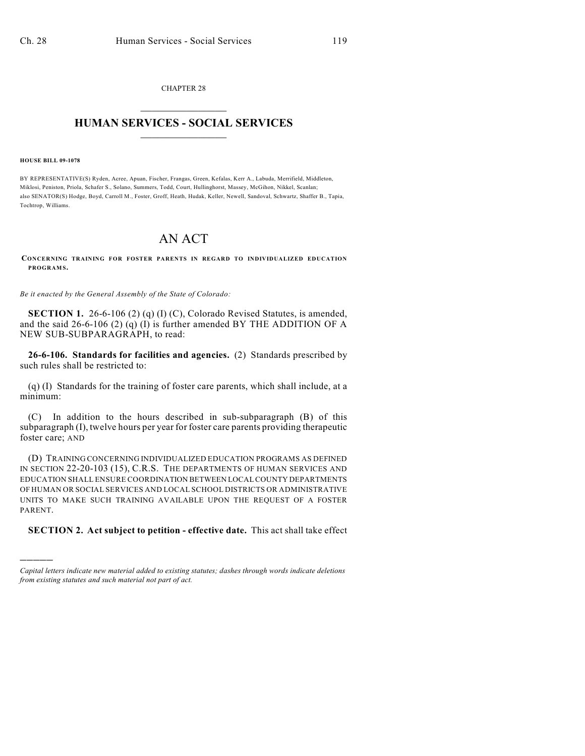CHAPTER 28  $\overline{\phantom{a}}$  . The set of the set of the set of the set of the set of the set of the set of the set of the set of the set of the set of the set of the set of the set of the set of the set of the set of the set of the set o

## **HUMAN SERVICES - SOCIAL SERVICES**  $\frac{1}{2}$  ,  $\frac{1}{2}$  ,  $\frac{1}{2}$  ,  $\frac{1}{2}$  ,  $\frac{1}{2}$  ,  $\frac{1}{2}$  ,  $\frac{1}{2}$

**HOUSE BILL 09-1078**

)))))

BY REPRESENTATIVE(S) Ryden, Acree, Apuan, Fischer, Frangas, Green, Kefalas, Kerr A., Labuda, Merrifield, Middleton, Miklosi, Peniston, Priola, Schafer S., Solano, Summers, Todd, Court, Hullinghorst, Massey, McGihon, Nikkel, Scanlan; also SENATOR(S) Hodge, Boyd, Carroll M., Foster, Groff, Heath, Hudak, Keller, Newell, Sandoval, Schwartz, Shaffer B., Tapia, Tochtrop, Williams.

## AN ACT

**CONCERNING TRAINING FOR FOSTER PARENTS IN REGARD TO INDIVIDUALIZED EDUCATION PROGRAM S.**

*Be it enacted by the General Assembly of the State of Colorado:*

**SECTION 1.** 26-6-106 (2) (q) (I) (C), Colorado Revised Statutes, is amended, and the said 26-6-106 (2) (q) (I) is further amended BY THE ADDITION OF A NEW SUB-SUBPARAGRAPH, to read:

**26-6-106. Standards for facilities and agencies.** (2) Standards prescribed by such rules shall be restricted to:

(q) (I) Standards for the training of foster care parents, which shall include, at a minimum:

(C) In addition to the hours described in sub-subparagraph (B) of this subparagraph (I), twelve hours per year for foster care parents providing therapeutic foster care; AND

(D) TRAINING CONCERNING INDIVIDUALIZED EDUCATION PROGRAMS AS DEFINED IN SECTION 22-20-103 (15), C.R.S. THE DEPARTMENTS OF HUMAN SERVICES AND EDUCATION SHALL ENSURE COORDINATION BETWEEN LOCAL COUNTY DEPARTMENTS OF HUMAN OR SOCIAL SERVICES AND LOCAL SCHOOL DISTRICTS OR ADMINISTRATIVE UNITS TO MAKE SUCH TRAINING AVAILABLE UPON THE REQUEST OF A FOSTER PARENT.

## **SECTION 2. Act subject to petition - effective date.** This act shall take effect

*Capital letters indicate new material added to existing statutes; dashes through words indicate deletions from existing statutes and such material not part of act.*